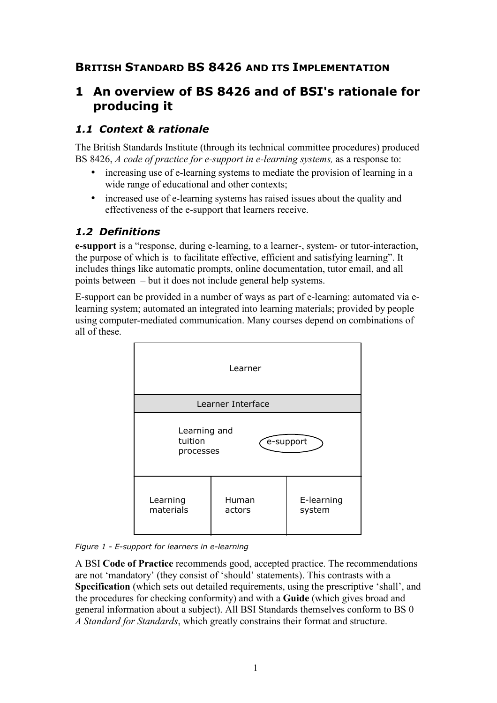# **BRITISH STANDARD BS 8426 AND ITS IMPLEMENTATION**

# **1 An overview of BS 8426 and of BSI's rationale for producing it**

#### *1.1 Context & rationale*

The British Standards Institute (through its technical committee procedures) produced BS 8426, *A code of practice for e-support in e-learning systems,* as a response to:

- increasing use of e-learning systems to mediate the provision of learning in a wide range of educational and other contexts;
- increased use of e-learning systems has raised issues about the quality and effectiveness of the e-support that learners receive.

#### *1.2 Definitions*

**e-support** is a "response, during e-learning, to a learner-, system- or tutor-interaction, the purpose of which is to facilitate effective, efficient and satisfying learning". It includes things like automatic prompts, online documentation, tutor email, and all points between – but it does not include general help systems.

E-support can be provided in a number of ways as part of e-learning: automated via elearning system; automated an integrated into learning materials; provided by people using computer-mediated communication. Many courses depend on combinations of all of these.



*Figure 1 - E-support for learners in e-learning* 

A BSI **Code of Practice** recommends good, accepted practice. The recommendations are not 'mandatory' (they consist of 'should' statements). This contrasts with a **Specification** (which sets out detailed requirements, using the prescriptive 'shall', and the procedures for checking conformity) and with a **Guide** (which gives broad and general information about a subject). All BSI Standards themselves conform to BS 0 *A Standard for Standards*, which greatly constrains their format and structure.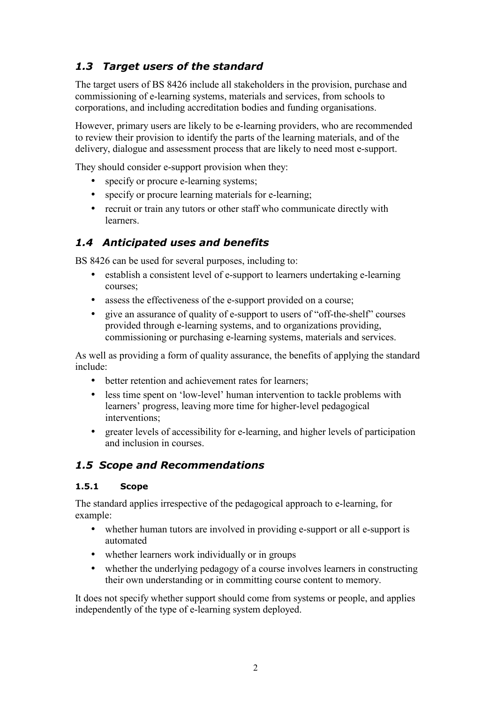# *1.3 Target users of the standard*

The target users of BS 8426 include all stakeholders in the provision, purchase and commissioning of e-learning systems, materials and services, from schools to corporations, and including accreditation bodies and funding organisations.

However, primary users are likely to be e-learning providers, who are recommended to review their provision to identify the parts of the learning materials, and of the delivery, dialogue and assessment process that are likely to need most e-support.

They should consider e-support provision when they:

- specify or procure e-learning systems:
- specify or procure learning materials for e-learning;
- recruit or train any tutors or other staff who communicate directly with learners.

### *1.4 Anticipated uses and benefits*

BS 8426 can be used for several purposes, including to:

- establish a consistent level of e-support to learners undertaking e-learning courses;
- assess the effectiveness of the e-support provided on a course;
- give an assurance of quality of e-support to users of "off-the-shelf" courses provided through e-learning systems, and to organizations providing, commissioning or purchasing e-learning systems, materials and services.

As well as providing a form of quality assurance, the benefits of applying the standard include:

- better retention and achievement rates for learners;
- less time spent on 'low-level' human intervention to tackle problems with learners' progress, leaving more time for higher-level pedagogical interventions;
- greater levels of accessibility for e-learning, and higher levels of participation and inclusion in courses.

#### *1.5 Scope and Recommendations*

#### **1.5.1 Scope**

The standard applies irrespective of the pedagogical approach to e-learning, for example:

- whether human tutors are involved in providing e-support or all e-support is automated
- whether learners work individually or in groups
- whether the underlying pedagogy of a course involves learners in constructing their own understanding or in committing course content to memory.

It does not specify whether support should come from systems or people, and applies independently of the type of e-learning system deployed.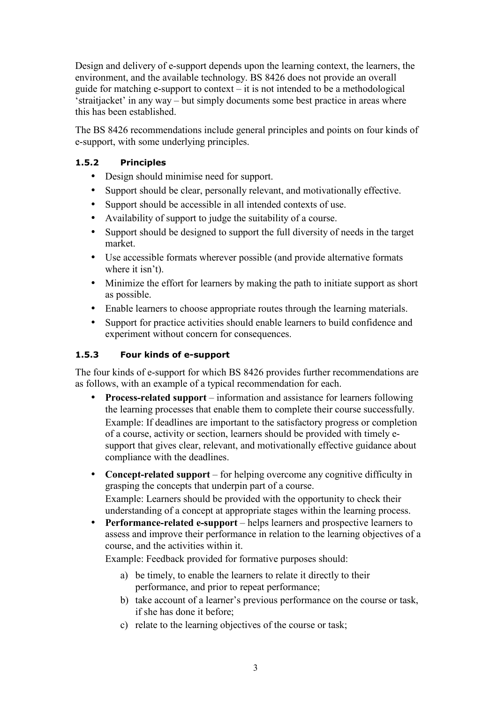Design and delivery of e-support depends upon the learning context, the learners, the environment, and the available technology. BS 8426 does not provide an overall guide for matching e-support to context – it is not intended to be a methodological 'straitjacket' in any way – but simply documents some best practice in areas where this has been established.

The BS 8426 recommendations include general principles and points on four kinds of e-support, with some underlying principles.

#### **1.5.2 Principles**

- Design should minimise need for support.
- Support should be clear, personally relevant, and motivationally effective.
- Support should be accessible in all intended contexts of use.
- Availability of support to judge the suitability of a course.
- Support should be designed to support the full diversity of needs in the target market.
- Use accessible formats wherever possible (and provide alternative formats where it isn't).
- Minimize the effort for learners by making the path to initiate support as short as possible.
- Enable learners to choose appropriate routes through the learning materials.
- Support for practice activities should enable learners to build confidence and experiment without concern for consequences.

#### **1.5.3 Four kinds of e-support**

The four kinds of e-support for which BS 8426 provides further recommendations are as follows, with an example of a typical recommendation for each.

- **Process-related support** information and assistance for learners following the learning processes that enable them to complete their course successfully. Example: If deadlines are important to the satisfactory progress or completion of a course, activity or section, learners should be provided with timely esupport that gives clear, relevant, and motivationally effective guidance about compliance with the deadlines.
- **Concept-related support** for helping overcome any cognitive difficulty in grasping the concepts that underpin part of a course. Example: Learners should be provided with the opportunity to check their understanding of a concept at appropriate stages within the learning process.
- **Performance-related e-support** helps learners and prospective learners to assess and improve their performance in relation to the learning objectives of a course, and the activities within it.

Example: Feedback provided for formative purposes should:

- a) be timely, to enable the learners to relate it directly to their performance, and prior to repeat performance;
- b) take account of a learner's previous performance on the course or task, if she has done it before;
- c) relate to the learning objectives of the course or task;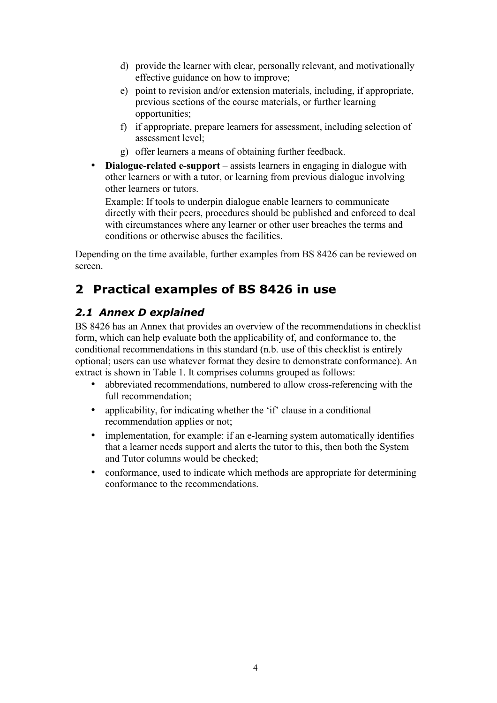- d) provide the learner with clear, personally relevant, and motivationally effective guidance on how to improve;
- e) point to revision and/or extension materials, including, if appropriate, previous sections of the course materials, or further learning opportunities;
- f) if appropriate, prepare learners for assessment, including selection of assessment level;
- g) offer learners a means of obtaining further feedback.
- **Dialogue-related e-support** assists learners in engaging in dialogue with other learners or with a tutor, or learning from previous dialogue involving other learners or tutors.

Example: If tools to underpin dialogue enable learners to communicate directly with their peers, procedures should be published and enforced to deal with circumstances where any learner or other user breaches the terms and conditions or otherwise abuses the facilities.

Depending on the time available, further examples from BS 8426 can be reviewed on screen.

# **2 Practical examples of BS 8426 in use**

# *2.1 Annex D explained*

BS 8426 has an Annex that provides an overview of the recommendations in checklist form, which can help evaluate both the applicability of, and conformance to, the conditional recommendations in this standard (n.b. use of this checklist is entirely optional; users can use whatever format they desire to demonstrate conformance). An extract is shown in Table 1. It comprises columns grouped as follows:

- abbreviated recommendations, numbered to allow cross-referencing with the full recommendation;
- applicability, for indicating whether the 'if' clause in a conditional recommendation applies or not;
- implementation, for example: if an e-learning system automatically identifies that a learner needs support and alerts the tutor to this, then both the System and Tutor columns would be checked;
- conformance, used to indicate which methods are appropriate for determining conformance to the recommendations.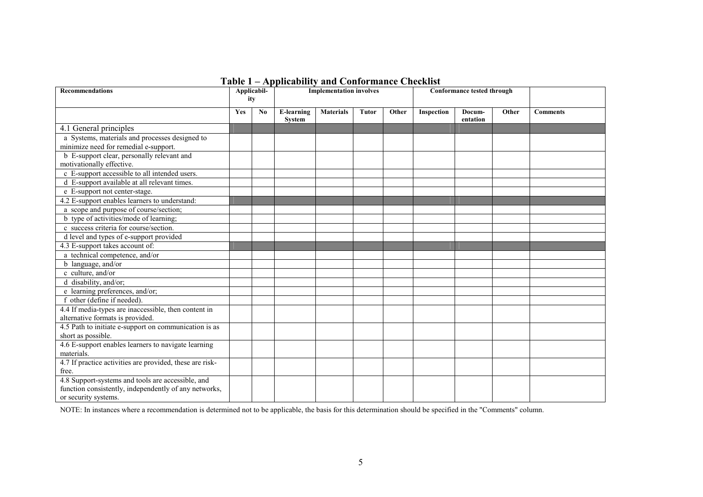| <b>Recommendations</b>                                                                   | Applicabil-<br>ity |    | <b>Implementation involves</b>     |                  |       |       | Conformance tested through |                    |       |                 |
|------------------------------------------------------------------------------------------|--------------------|----|------------------------------------|------------------|-------|-------|----------------------------|--------------------|-------|-----------------|
|                                                                                          | Yes                | No | <b>E-learning</b><br><b>System</b> | <b>Materials</b> | Tutor | Other | Inspection                 | Docum-<br>entation | Other | <b>Comments</b> |
| 4.1 General principles                                                                   |                    |    |                                    |                  |       |       |                            |                    |       |                 |
| a Systems, materials and processes designed to<br>minimize need for remedial e-support.  |                    |    |                                    |                  |       |       |                            |                    |       |                 |
| b E-support clear, personally relevant and<br>motivationally effective.                  |                    |    |                                    |                  |       |       |                            |                    |       |                 |
| c E-support accessible to all intended users.                                            |                    |    |                                    |                  |       |       |                            |                    |       |                 |
| d E-support available at all relevant times.                                             |                    |    |                                    |                  |       |       |                            |                    |       |                 |
| e E-support not center-stage.                                                            |                    |    |                                    |                  |       |       |                            |                    |       |                 |
| 4.2 E-support enables learners to understand:                                            |                    |    |                                    |                  |       |       |                            |                    |       |                 |
| a scope and purpose of course/section;                                                   |                    |    |                                    |                  |       |       |                            |                    |       |                 |
| b type of activities/mode of learning;                                                   |                    |    |                                    |                  |       |       |                            |                    |       |                 |
| c success criteria for course/section.                                                   |                    |    |                                    |                  |       |       |                            |                    |       |                 |
| d level and types of e-support provided                                                  |                    |    |                                    |                  |       |       |                            |                    |       |                 |
| 4.3 E-support takes account of:                                                          |                    |    |                                    |                  |       |       |                            |                    |       |                 |
| a technical competence, and/or                                                           |                    |    |                                    |                  |       |       |                            |                    |       |                 |
| b language, and/or                                                                       |                    |    |                                    |                  |       |       |                            |                    |       |                 |
| c culture, and/or                                                                        |                    |    |                                    |                  |       |       |                            |                    |       |                 |
| d disability, and/or;                                                                    |                    |    |                                    |                  |       |       |                            |                    |       |                 |
| e learning preferences, and/or;                                                          |                    |    |                                    |                  |       |       |                            |                    |       |                 |
| f other (define if needed).                                                              |                    |    |                                    |                  |       |       |                            |                    |       |                 |
| 4.4 If media-types are inaccessible, then content in<br>alternative formats is provided. |                    |    |                                    |                  |       |       |                            |                    |       |                 |
| 4.5 Path to initiate e-support on communication is as<br>short as possible.              |                    |    |                                    |                  |       |       |                            |                    |       |                 |
|                                                                                          |                    |    |                                    |                  |       |       |                            |                    |       |                 |
| 4.6 E-support enables learners to navigate learning<br>materials.                        |                    |    |                                    |                  |       |       |                            |                    |       |                 |
| 4.7 If practice activities are provided, these are risk-<br>free.                        |                    |    |                                    |                  |       |       |                            |                    |       |                 |
| 4.8 Support-systems and tools are accessible, and                                        |                    |    |                                    |                  |       |       |                            |                    |       |                 |
| function consistently, independently of any networks,                                    |                    |    |                                    |                  |       |       |                            |                    |       |                 |
| or security systems.                                                                     |                    |    |                                    |                  |       |       |                            |                    |       |                 |

NOTE: In instances where <sup>a</sup> recommendation is determined not to be applicable, the basis for this determination should be specified in the "Comments" column.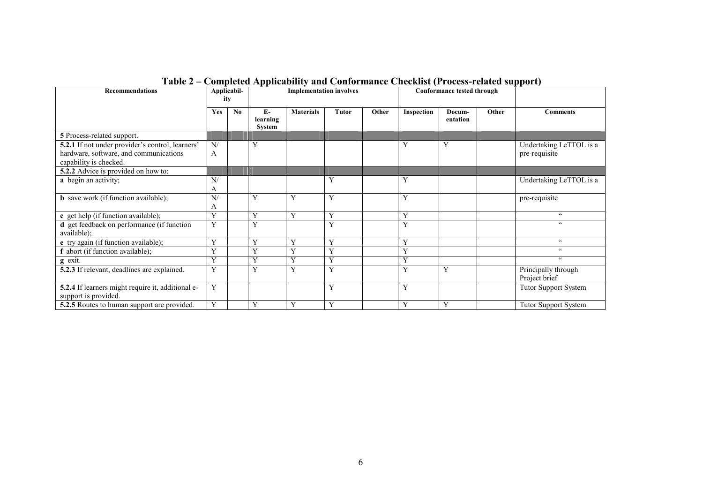| <b>Recommendations</b>                                                                                               |            | Applicabil-<br>ity     | <b>Implementation involves</b> |                  |       | Conformance tested through |            |                    |       |                                          |
|----------------------------------------------------------------------------------------------------------------------|------------|------------------------|--------------------------------|------------------|-------|----------------------------|------------|--------------------|-------|------------------------------------------|
|                                                                                                                      | <b>Yes</b> | $\mathbf{N}\mathbf{0}$ | $E-$<br>learning<br>System     | <b>Materials</b> | Tutor | Other                      | Inspection | Docum-<br>entation | Other | <b>Comments</b>                          |
| 5 Process-related support.                                                                                           |            |                        |                                |                  |       |                            |            |                    |       |                                          |
| 5.2.1 If not under provider's control, learners'<br>hardware, software, and communications<br>capability is checked. | N/<br>A    |                        | Y                              |                  |       |                            | Y          | Y                  |       | Undertaking LeTTOL is a<br>pre-requisite |
| 5.2.2 Advice is provided on how to:                                                                                  |            |                        |                                |                  |       |                            |            |                    |       |                                          |
| a begin an activity;                                                                                                 | N/<br>A    |                        |                                |                  | Y     |                            | Y          |                    |       | Undertaking LeTTOL is a                  |
| <b>b</b> save work (if function available);                                                                          | N/<br>A    |                        | Y                              | Y                | Y     |                            | Y          |                    |       | pre-requisite                            |
| c get help (if function available);                                                                                  | Y          |                        | Y                              | Y                | Y     |                            | Y          |                    |       | $\zeta$ $\zeta$                          |
| d get feedback on performance (if function<br>available);                                                            | Y          |                        | $\overline{\mathbf{V}}$        |                  | Y     |                            | Y          |                    |       | $\zeta$ $\zeta$                          |
| e try again (if function available);                                                                                 | Y          |                        | $\mathbf{v}$                   | Y                | Y     |                            | Y          |                    |       | $\epsilon$                               |
| abort (if function available);                                                                                       | Y          |                        | Y                              | Y                | Y     |                            | Y          |                    |       | $\epsilon$                               |
| $g$ exit.                                                                                                            | Y          |                        | Y                              | Y                | Y     |                            | Y          |                    |       | $\zeta$ $\zeta$                          |
| 5.2.3 If relevant, deadlines are explained.                                                                          | Y          |                        | $\mathbf{v}$                   | Y                | Y     |                            | Y          | Y                  |       | Principally through<br>Project brief     |
| 5.2.4 If learners might require it, additional e-<br>support is provided.                                            | Y          |                        |                                |                  | Y     |                            | Y          |                    |       | <b>Tutor Support System</b>              |
| 5.2.5 Routes to human support are provided.                                                                          | Y          |                        | Y                              | Y                | Y     |                            | Y          | Y                  |       | <b>Tutor Support System</b>              |

#### **Table 2 – Completed Applicability and Conformance Checklist (Process-related support)**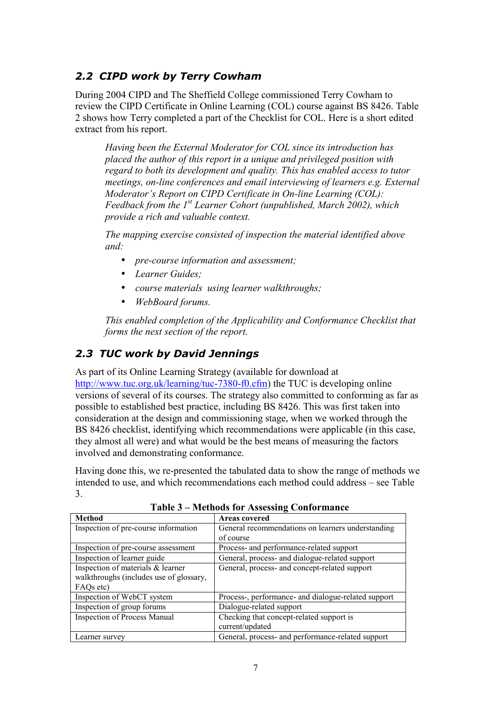### *2.2 CIPD work by Terry Cowham*

During 2004 CIPD and The Sheffield College commissioned Terry Cowham to review the CIPD Certificate in Online Learning (COL) course against BS 8426. Table 2 shows how Terry completed a part of the Checklist for COL. Here is a short edited extract from his report.

*Having been the External Moderator for COL since its introduction has placed the author of this report in a unique and privileged position with regard to both its development and quality. This has enabled access to tutor meetings, on-line conferences and email interviewing of learners e.g. External Moderator's Report on CIPD Certificate in On-line Learning (COL): Feedback from the 1st Learner Cohort (unpublished, March 2002), which provide a rich and valuable context.* 

*The mapping exercise consisted of inspection the material identified above and:*

- *pre-course information and assessment;*
- *Learner Guides;*
- *course materials using learner walkthroughs;*
- *WebBoard forums.*

*This enabled completion of the Applicability and Conformance Checklist that forms the next section of the report.* 

### *2.3 TUC work by David Jennings*

As part of its Online Learning Strategy (available for download at http://www.tuc.org.uk/learning/tuc-7380-f0.cfm) the TUC is developing online versions of several of its courses. The strategy also committed to conforming as far as possible to established best practice, including BS 8426. This was first taken into consideration at the design and commissioning stage, when we worked through the BS 8426 checklist, identifying which recommendations were applicable (in this case, they almost all were) and what would be the best means of measuring the factors involved and demonstrating conformance.

Having done this, we re-presented the tabulated data to show the range of methods we intended to use, and which recommendations each method could address – see Table 3.

| <b>Method</b>                           | <b>Areas covered</b>                                |
|-----------------------------------------|-----------------------------------------------------|
| Inspection of pre-course information    | General recommendations on learners understanding   |
|                                         | of course                                           |
| Inspection of pre-course assessment     | Process- and performance-related support            |
| Inspection of learner guide             | General, process- and dialogue-related support      |
| Inspection of materials & learner       | General, process- and concept-related support       |
| walkthroughs (includes use of glossary, |                                                     |
| FAQ <sub>s</sub> etc)                   |                                                     |
| Inspection of WebCT system              | Process-, performance- and dialogue-related support |
| Inspection of group forums              | Dialogue-related support                            |
| <b>Inspection of Process Manual</b>     | Checking that concept-related support is            |
|                                         | current/updated                                     |
| Learner survey                          | General, process- and performance-related support   |

 **Table 3 – Methods for Assessing Conformance**